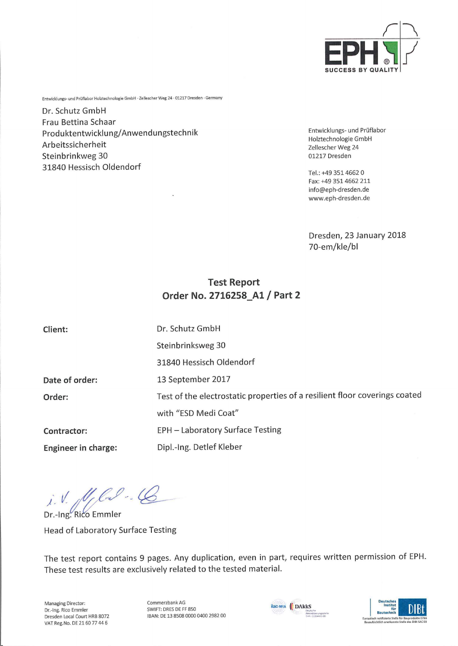

Entwicklungs- und Prüflabor Holztechnologie GmbH • Zellescher Weg 24 • 01217 Dresden • Germany

Dr. Schutz GmbH Frau Bettina Schaar Produktentwicklung/Anwendungstechnik Entwicklungs-und Prüflabor Produktentwicklung/Anwendungstechnik<br>Arbeitssicherheit Zellescher Weg 24<br>Zellescher Weg 24 Steinbrinkweg 30 01217 Dresden 31840 Hessisch Oldendorf

Holztechnologie GmbH

Tel.:+49 3514662 0 Fax: +49 351 4662 211 info@eph-dresden.de www.eph-dresden.de

Dresden, 23 January 2018 70-em/kle/bl

# Test Report Order No. 2716258\_A1 / Part 2

| Client:             | Dr. Schutz GmbH                                                            |
|---------------------|----------------------------------------------------------------------------|
|                     | Steinbrinksweg 30                                                          |
|                     | 31840 Hessisch Oldendorf                                                   |
| Date of order:      | 13 September 2017                                                          |
| Order:              | Test of the electrostatic properties of a resilient floor coverings coated |
|                     | with "ESD Medi Coat"                                                       |
| <b>Contractor:</b>  | EPH - Laboratory Surface Testing                                           |
| Engineer in charge: | Dipl.-Ing. Detlef Kleber                                                   |

i. V. fl flow ...

Dr.-Ing. Rico Emmler Head of Laboratory Surface Testing

The test report contains 9 pages. Any duplication, even in part, requires written permission of EPH. These test results are exclusively related to the tested material.

Managing Director: Dr.-Ing. Rico Emmler Dresden Local Court HRB 8072 VAT Reg.No. DE 2160 77 44 6

Commerzbank AG SWIFT: DRES DE FF 850 IBAN: DE 13 8508 0000 0400 2982 00



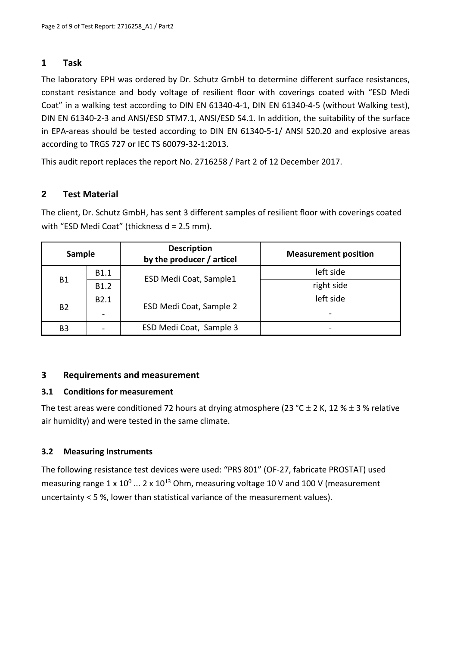### **1 Task**

The laboratory EPH was ordered by Dr. Schutz GmbH to determine different surface resistances, constant resistance and body voltage of resilient floor with coverings coated with "ESD Medi Coat" in a walking test according to DIN EN 61340‐4‐1, DIN EN 61340‐4‐5 (without Walking test), DIN EN 61340‐2‐3 and ANSI/ESD STM7.1, ANSI/ESD S4.1. In addition, the suitability of the surface in EPA-areas should be tested according to DIN EN 61340-5-1/ ANSI S20.20 and explosive areas according to TRGS 727 or IEC TS 60079‐32‐1:2013.

This audit report replaces the report No. 2716258 / Part 2 of 12 December 2017.

## **2 Test Material**

The client, Dr. Schutz GmbH, has sent 3 different samples of resilient floor with coverings coated with "ESD Medi Coat" (thickness d = 2.5 mm).

| Sample    |                  | <b>Description</b><br>by the producer / articel | <b>Measurement position</b> |  |  |  |
|-----------|------------------|-------------------------------------------------|-----------------------------|--|--|--|
|           | B1.1             | ESD Medi Coat, Sample1                          | left side                   |  |  |  |
| B1        | B1.2             |                                                 | right side                  |  |  |  |
|           | B <sub>2.1</sub> |                                                 | left side                   |  |  |  |
| <b>B2</b> |                  | ESD Medi Coat, Sample 2                         |                             |  |  |  |
| B3        |                  | ESD Medi Coat, Sample 3                         |                             |  |  |  |

### **3 Requirements and measurement**

#### **3.1 Conditions for measurement**

The test areas were conditioned 72 hours at drying atmosphere (23 °C  $\pm$  2 K, 12 %  $\pm$  3 % relative air humidity) and were tested in the same climate.

### **3.2 Measuring Instruments**

The following resistance test devices were used: "PRS 801" (OF‐27, fabricate PROSTAT) used measuring range  $1 \times 10^0$  ... 2 x  $10^{13}$  Ohm, measuring voltage 10 V and 100 V (measurement uncertainty < 5 %, lower than statistical variance of the measurement values).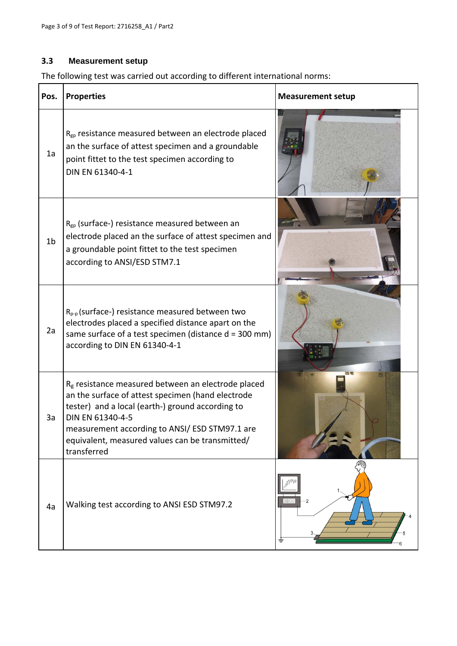#### **3.3 Measurement setup**

The following test was carried out according to different international norms:

| Pos.           | <b>Properties</b>                                                                                                                                                                                                                                                                                               | <b>Measurement setup</b> |
|----------------|-----------------------------------------------------------------------------------------------------------------------------------------------------------------------------------------------------------------------------------------------------------------------------------------------------------------|--------------------------|
| 1a             | $R_{gp}$ resistance measured between an electrode placed<br>an the surface of attest specimen and a groundable<br>point fittet to the test specimen according to<br>DIN EN 61340-4-1                                                                                                                            |                          |
| 1 <sub>b</sub> | $R_{gp}$ (surface-) resistance measured between an<br>electrode placed an the surface of attest specimen and<br>a groundable point fittet to the test specimen<br>according to ANSI/ESD STM7.1                                                                                                                  |                          |
| 2a             | $R_{p-p}$ (surface-) resistance measured between two<br>electrodes placed a specified distance apart on the<br>same surface of a test specimen (distance $d = 300$ mm)<br>according to DIN EN 61340-4-1                                                                                                         |                          |
| 3a             | R <sub>g</sub> resistance measured between an electrode placed<br>an the surface of attest specimen (hand electrode<br>tester) and a local (earth-) ground according to<br>DIN EN 61340-4-5<br>measurement according to ANSI/ ESD STM97.1 are<br>equivalent, measured values can be transmitted/<br>transferred |                          |
| 4a             | Walking test according to ANSI ESD STM97.2                                                                                                                                                                                                                                                                      | <b>BBBB</b><br>≑         |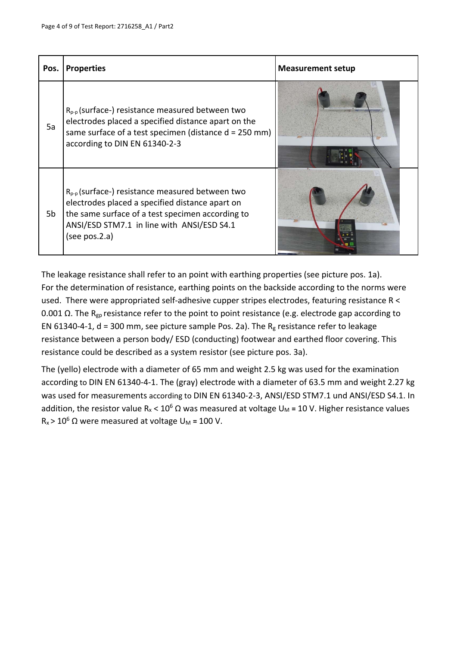| Pos. | <b>Properties</b>                                                                                                                                                                                                           | <b>Measurement setup</b> |
|------|-----------------------------------------------------------------------------------------------------------------------------------------------------------------------------------------------------------------------------|--------------------------|
| 5a   | $R_{p-p}$ (surface-) resistance measured between two<br>electrodes placed a specified distance apart on the<br>same surface of a test specimen (distance d = 250 mm)<br>according to DIN EN 61340-2-3                       |                          |
| 5b   | $R_{p-p}$ (surface-) resistance measured between two<br>electrodes placed a specified distance apart on<br>the same surface of a test specimen according to<br>ANSI/ESD STM7.1 in line with ANSI/ESD S4.1<br>(see pos. 2.a) |                          |

The leakage resistance shall refer to an point with earthing properties (see picture pos. 1a). For the determination of resistance, earthing points on the backside according to the norms were used. There were appropriated self-adhesive cupper stripes electrodes, featuring resistance R < 0.001 Ω. The R<sub>gp</sub> resistance refer to the point to point resistance (e.g. electrode gap according to EN 61340-4-1,  $d = 300$  mm, see picture sample Pos. 2a). The R<sub>g</sub> resistance refer to leakage resistance between a person body/ ESD (conducting) footwear and earthed floor covering. This resistance could be described as a system resistor (see picture pos. 3a).

The (yello) electrode with a diameter of 65 mm and weight 2.5 kg was used for the examination according to DIN EN 61340‐4‐1. The (gray) electrode with a diameter of 63.5 mm and weight 2.27 kg was used for measurements according to DIN EN 61340-2-3, ANSI/ESD STM7.1 und ANSI/ESD S4.1. In addition, the resistor value R<sub>x</sub> < 10<sup>6</sup> Ω was measured at voltage U<sub>M</sub> = 10 V. Higher resistance values R<sub>x</sub> > 10<sup>6</sup> Ω were measured at voltage U<sub>M</sub> = 100 V.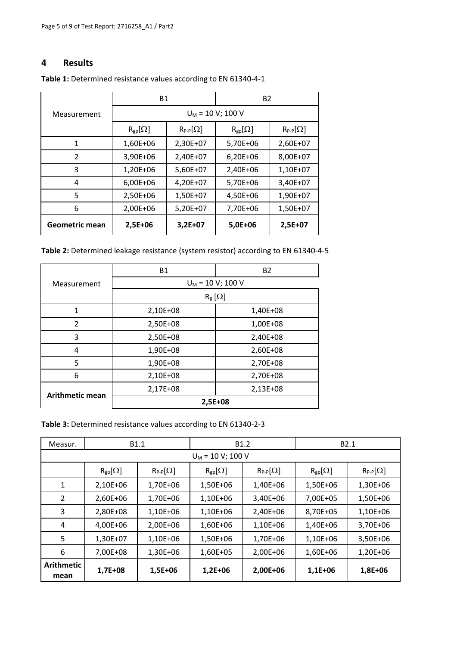#### **4 Results**

|                | <b>B1</b>           |                   | <b>B2</b>        |                   |  |  |  |  |  |
|----------------|---------------------|-------------------|------------------|-------------------|--|--|--|--|--|
| Measurement    | $U_M$ = 10 V; 100 V |                   |                  |                   |  |  |  |  |  |
|                | $R_{gp}[\Omega]$    | $R_{P-P}[\Omega]$ | $R_{gp}[\Omega]$ | $R_{P-P}[\Omega]$ |  |  |  |  |  |
| 1              | 1,60E+06            | 2,30E+07          | 5,70E+06         | 2,60E+07          |  |  |  |  |  |
| 2              | 3,90E+06            | 2,40E+07          | 6,20E+06         | 8,00E+07          |  |  |  |  |  |
| 3              | 1,20E+06            | 5,60E+07          | 2,40E+06         | 1,10E+07          |  |  |  |  |  |
| 4              | 6,00E+06            | 4,20E+07          | 5,70E+06         | 3,40E+07          |  |  |  |  |  |
| 5              | 2,50E+06            | 1,50E+07          | 4,50E+06         | 1,90E+07          |  |  |  |  |  |
| 6              | 2,00E+06            | 5,20E+07          | 7,70E+06         | 1,50E+07          |  |  |  |  |  |
| Geometric mean | 2,5E+06             | $3,2E+07$         | 5,0E+06          | 2,5E+07           |  |  |  |  |  |

**Table 1:** Determined resistance values according to EN 61340‐4‐1

| Table 2: Determined leakage resistance (system resistor) according to EN 61340-4-5 |  |  |
|------------------------------------------------------------------------------------|--|--|
|------------------------------------------------------------------------------------|--|--|

|                 | <b>B1</b>                | <b>B2</b> |  |  |  |  |
|-----------------|--------------------------|-----------|--|--|--|--|
| Measurement     | $U_M$ = 10 V; 100 V      |           |  |  |  |  |
|                 | $R_{\rm g}$ [ $\Omega$ ] |           |  |  |  |  |
| 1               | 2,10E+08                 | 1,40E+08  |  |  |  |  |
| $\overline{2}$  | 2,50E+08                 | 1,00E+08  |  |  |  |  |
| 3               | 2,50E+08                 | 2,40E+08  |  |  |  |  |
| 4               | 1,90E+08                 | 2,60E+08  |  |  |  |  |
| 5               | 1,90E+08                 | 2,70E+08  |  |  |  |  |
| 6               | 2,10E+08                 | 2,70E+08  |  |  |  |  |
|                 | 2,17E+08                 | 2,13E+08  |  |  |  |  |
| Arithmetic mean | 2,5E+08                  |           |  |  |  |  |

**Table 3:** Determined resistance values according to EN 61340‐2‐3

| Measur.                   |                     | B <sub>1.1</sub>  |                  | B <sub>1.2</sub>  | B <sub>2.1</sub> |                   |  |  |  |  |  |  |
|---------------------------|---------------------|-------------------|------------------|-------------------|------------------|-------------------|--|--|--|--|--|--|
|                           | $U_M$ = 10 V; 100 V |                   |                  |                   |                  |                   |  |  |  |  |  |  |
|                           | $R_{gp}[\Omega]$    | $R_{P-P}[\Omega]$ | $R_{gp}[\Omega]$ | $R_{P-P}[\Omega]$ | $R_{gp}[\Omega]$ | $R_{P-P}[\Omega]$ |  |  |  |  |  |  |
| 1                         | 2,10E+06            | 1,70E+06          | 1,50E+06         | 1,40E+06          | 1,50E+06         | 1,30E+06          |  |  |  |  |  |  |
| 2                         | 2,60E+06            | 1,70E+06          | 1,10E+06         | 3,40E+06          | 7,00E+05         | 1,50E+06          |  |  |  |  |  |  |
| 3                         | 2,80E+08            | 1,10E+06          | 1,10E+06         | 2,40E+06          | 8,70E+05         | 1,10E+06          |  |  |  |  |  |  |
| 4                         | 4,00E+06            | 2,00E+06          | 1,60E+06         | 1,10E+06          | 1,40E+06         | 3,70E+06          |  |  |  |  |  |  |
| 5                         | 1,30E+07            | 1,10E+06          | 1,50E+06         | 1,70E+06          | 1,10E+06         | 3,50E+06          |  |  |  |  |  |  |
| 6                         | 7,00E+08            | 1,30E+06          | 1,60E+05         | 2,00E+06          | 1,60E+06         | 1,20E+06          |  |  |  |  |  |  |
| <b>Arithmetic</b><br>mean | 1,7E+08             | 1,5E+06           | $1,2E+06$        | 2,00E+06          | 1,1E+06          | 1,8E+06           |  |  |  |  |  |  |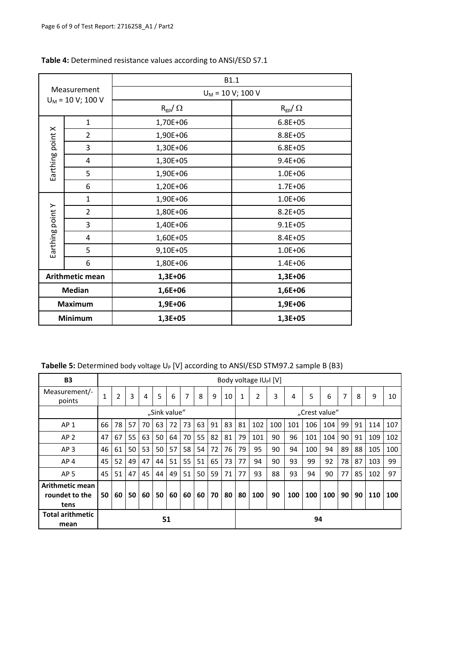| Measurement<br>$U_M$ = 10 V; 100 V |                 | B1.1            |                     |  |  |  |
|------------------------------------|-----------------|-----------------|---------------------|--|--|--|
|                                    |                 |                 | $U_M$ = 10 V; 100 V |  |  |  |
|                                    |                 | $R_{gp}/\Omega$ | $R_{gp}/\Omega$     |  |  |  |
|                                    | $\mathbf{1}$    | 1,70E+06        | $6.8E + 05$         |  |  |  |
| Earthing point X                   | $\overline{2}$  | 1,90E+06        | 8.8E+05             |  |  |  |
|                                    | 3               | 1,30E+06        | $6.8E + 05$         |  |  |  |
|                                    | 4               | 1,30E+05        | $9.4E + 06$         |  |  |  |
|                                    | 5               | 1,90E+06        | $1.0E + 06$         |  |  |  |
|                                    | 6               | 1,20E+06        | $1.7E + 06$         |  |  |  |
|                                    | $\mathbf{1}$    | 1,90E+06        | $1.0E + 06$         |  |  |  |
| Earthing point Y                   | $\overline{2}$  | 1,80E+06        | $8.2E + 05$         |  |  |  |
|                                    | 3               | 1,40E+06        | $9.1E + 05$         |  |  |  |
|                                    | 4               | 1,60E+05        | 8.4E+05             |  |  |  |
|                                    | 5               | 9,10E+05        | $1.0E + 06$         |  |  |  |
|                                    | 6               | 1,80E+06        | $1.4E + 06$         |  |  |  |
|                                    | Arithmetic mean | 1,3E+06         | 1,3E+06             |  |  |  |
|                                    | <b>Median</b>   | 1,6E+06         | 1,6E+06             |  |  |  |
|                                    | <b>Maximum</b>  | 1,9E+06         | 1,9E+06             |  |  |  |
| <b>Minimum</b>                     |                 | 1,3E+05         | 1,3E+05             |  |  |  |

#### **Table 4:** Determined resistance values according to ANSI/ESD S7.1

Tabelle 5: Determined body voltage U<sub>P</sub> [V] according to ANSI/ESD STM97.2 sample B (B3)

| <b>B3</b>                                 |    | Body voltage $ U_P $ [V] |    |    |              |    |    |    |    |    |               |     |     |     |     |     |    |    |     |     |
|-------------------------------------------|----|--------------------------|----|----|--------------|----|----|----|----|----|---------------|-----|-----|-----|-----|-----|----|----|-----|-----|
| Measurement/-<br>points                   |    | 2                        | 3  | 4  | 5            | 6  | 7  | 8  | 9  | 10 | 1             | 2   | 3   | 4   | 5   | 6   | 7  | 8  | 9   | 10  |
|                                           |    |                          |    |    | "Sink value" |    |    |    |    |    | "Crest value" |     |     |     |     |     |    |    |     |     |
| AP <sub>1</sub>                           | 66 | 78                       | 57 | 70 | 63           | 72 | 73 | 63 | 91 | 83 | 81            | 102 | 100 | 101 | 106 | 104 | 99 | 91 | 114 | 107 |
| AP <sub>2</sub>                           | 47 | 67                       | 55 | 63 | 50           | 64 | 70 | 55 | 82 | 81 | 79            | 101 | 90  | 96  | 101 | 104 | 90 | 91 | 109 | 102 |
| AP <sub>3</sub>                           | 46 | 61                       | 50 | 53 | 50           | 57 | 58 | 54 | 72 | 76 | 79            | 95  | 90  | 94  | 100 | 94  | 89 | 88 | 105 | 100 |
| AP <sub>4</sub>                           | 45 | 52                       | 49 | 47 | 44           | 51 | 55 | 51 | 65 | 73 | 77            | 94  | 90  | 93  | 99  | 92  | 78 | 87 | 103 | 99  |
| AP <sub>5</sub>                           | 45 | 51                       | 47 | 45 | 44           | 49 | 51 | 50 | 59 | 71 | 77            | 93  | 88  | 93  | 94  | 90  | 77 | 85 | 102 | 97  |
| Arithmetic mean<br>roundet to the<br>tens | 50 | 60                       | 50 | 60 | 50           | 60 | 60 | 60 | 70 | 80 | 80            | 100 | 90  | 100 | 100 | 100 | 90 | 90 | 110 | 100 |
| <b>Total arithmetic</b><br>mean           | 51 |                          |    |    |              |    |    |    | 94 |    |               |     |     |     |     |     |    |    |     |     |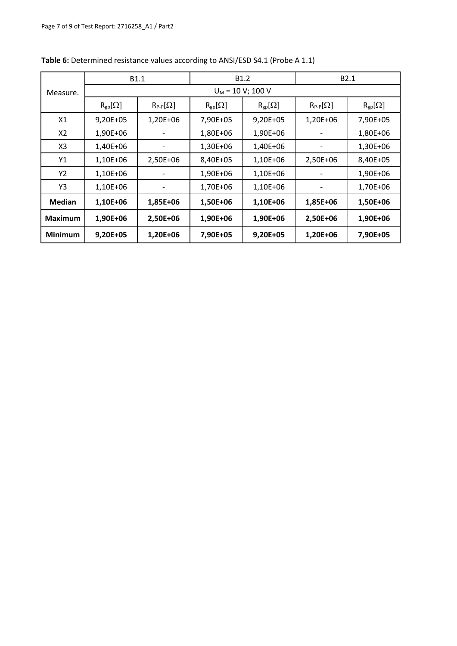|                |                                              | B <sub>1.1</sub>     |                  | B <sub>1.2</sub> | B <sub>2.1</sub>  |                  |  |  |  |  |
|----------------|----------------------------------------------|----------------------|------------------|------------------|-------------------|------------------|--|--|--|--|
| Measure.       | $U_M$ = 10 V; 100 V                          |                      |                  |                  |                   |                  |  |  |  |  |
|                | $R_{gp}[\Omega]$                             | $R_{P-P}[\Omega]$    | $R_{gp}[\Omega]$ | $R_{gp}[\Omega]$ | $R_{P-P}[\Omega]$ | $R_{gp}[\Omega]$ |  |  |  |  |
| X1             | $9,20E+05$                                   | 1,20E+06             | 7,90E+05         | $9,20E+05$       | 1,20E+06          | 7,90E+05         |  |  |  |  |
| X2             | 1,90E+06                                     |                      | 1,80E+06         | 1,90E+06         |                   | 1,80E+06         |  |  |  |  |
| X <sub>3</sub> | 1,40E+06                                     |                      | 1,30E+06         | 1,40E+06         |                   | 1,30E+06         |  |  |  |  |
| Υ1             | 1,10E+06                                     | 2,50E+06             | 8,40E+05         | 1,10E+06         | 2,50E+06          | 8,40E+05         |  |  |  |  |
| Y2             | 1,10E+06                                     | 1,10E+06<br>1,90E+06 |                  |                  |                   | 1,90E+06         |  |  |  |  |
| Y3             | 1,10E+06                                     |                      | 1,70E+06         | 1,10E+06         |                   | 1,70E+06         |  |  |  |  |
| <b>Median</b>  | 1,10E+06                                     | 1,85E+06             | 1,50E+06         | 1,10E+06         | 1,85E+06          | 1,50E+06         |  |  |  |  |
| <b>Maximum</b> | 1,90E+06                                     | 2,50E+06             | 1,90E+06         | 1,90E+06         | 2,50E+06          | 1,90E+06         |  |  |  |  |
| <b>Minimum</b> | 9,20E+05<br>1,20E+06<br>7,90E+05<br>9,20E+05 |                      |                  | 1,20E+06         | 7,90E+05          |                  |  |  |  |  |

**Table 6:** Determined resistance values according to ANSI/ESD S4.1 (Probe A 1.1)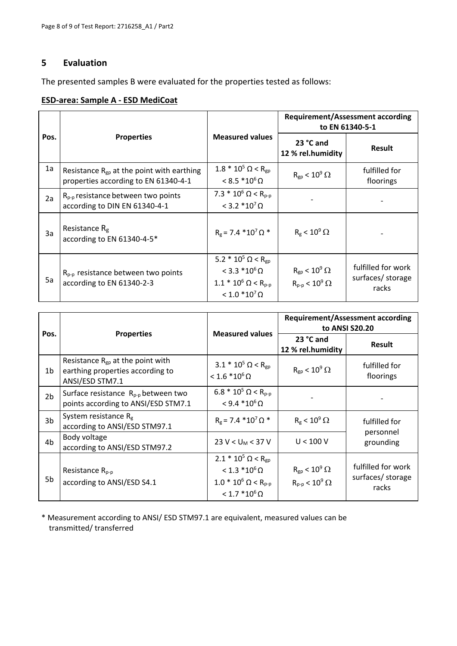#### **5 Evaluation**

The presented samples B were evaluated for the properties tested as follows:

#### **ESD‐area: Sample A ‐ ESD MediCoat**

|      |                                                                                        |                                                                                                                                         | <b>Requirement/Assessment according</b><br>to EN 61340-5-1                  |                                                  |  |  |  |
|------|----------------------------------------------------------------------------------------|-----------------------------------------------------------------------------------------------------------------------------------------|-----------------------------------------------------------------------------|--------------------------------------------------|--|--|--|
| Pos. | <b>Properties</b>                                                                      | <b>Measured values</b>                                                                                                                  | 23 °C and<br>12 % rel.humidity                                              | Result                                           |  |  |  |
| 1a   | Resistance $R_{gp}$ at the point with earthing<br>properties according to EN 61340-4-1 | $1.8 * 10^5$ $\Omega$ < R <sub>gp</sub><br>$< 8.5 * 10^6 \Omega$                                                                        | $R_{gp}$ < 10 <sup>9</sup> $\Omega$                                         | fulfilled for<br>floorings                       |  |  |  |
| 2a   | $R_{p-p}$ resistance between two points<br>according to DIN EN 61340-4-1               | 7.3 $*$ 10 <sup>6</sup> $\Omega$ < R <sub>p-p</sub><br>$< 3.2 * 107 \Omega$                                                             |                                                                             |                                                  |  |  |  |
| 3a   | Resistance $R_g$<br>according to EN 61340-4-5*                                         | $R_g = 7.4 * 10^7 \Omega$ *                                                                                                             | $R_g < 10^9 \Omega$                                                         |                                                  |  |  |  |
| 5a   | $R_{p-p}$ resistance between two points<br>according to EN 61340-2-3                   | 5.2 $*$ 10 <sup>5</sup> $\Omega$ < R <sub>gp</sub><br>$< 3.3 * 10^6 \Omega$<br>$1.1 * 10^6$ $\Omega < R_{p-p}$<br>$< 1.0 * 10^7 \Omega$ | $R_{gp}$ < 10 <sup>9</sup> $\Omega$<br>$R_{p-p}$ < 10 <sup>9</sup> $\Omega$ | fulfilled for work<br>surfaces/ storage<br>racks |  |  |  |

| Pos.           | <b>Properties</b>                                                                            | <b>Measured values</b>                                                                                                      | <b>Requirement/Assessment according</b><br>to ANSI \$20.20                  |                                                  |
|----------------|----------------------------------------------------------------------------------------------|-----------------------------------------------------------------------------------------------------------------------------|-----------------------------------------------------------------------------|--------------------------------------------------|
|                |                                                                                              |                                                                                                                             | 23 °C and<br>12 % rel.humidity                                              | <b>Result</b>                                    |
| 1b             | Resistance $R_{gp}$ at the point with<br>earthing properties according to<br>ANSI/ESD STM7.1 | $3.1 * 10^5$ $\Omega$ < R <sub>gp</sub><br>$< 1.6 * 10^6 \Omega$                                                            | $R_{gp}$ < 10 <sup>9</sup> $\Omega$                                         | fulfilled for<br>floorings                       |
| 2 <sub>b</sub> | Surface resistance $R_{p-p}$ between two<br>points according to ANSI/ESD STM7.1              | 6.8 $*$ 10 <sup>5</sup> $\Omega$ < R <sub>p-p</sub><br>$< 9.4 * 10^6 \Omega$                                                |                                                                             |                                                  |
| 3 <sub>b</sub> | System resistance $R_g$<br>according to ANSI/ESD STM97.1                                     | $R_g = 7.4 * 10^7 \Omega$ *                                                                                                 | $R_g < 10^9 \Omega$                                                         | fulfilled for<br>personnel<br>grounding          |
| 4 <sub>b</sub> | Body voltage<br>according to ANSI/ESD STM97.2                                                | $23 V < U_M < 37 V$                                                                                                         | U < 100 V                                                                   |                                                  |
| 5b             | Resistance $R_{p-p}$<br>according to ANSI/ESD S4.1                                           | $2.1 * 10^5$ $\Omega$ < R <sub>gp</sub><br>$< 1.3 * 10^6 \Omega$<br>$1.0 * 10^6$ $\Omega < R_{p-p}$<br>$< 1.7 * 106 \Omega$ | $R_{gp}$ < 10 <sup>9</sup> $\Omega$<br>$R_{p-p}$ < 10 <sup>9</sup> $\Omega$ | fulfilled for work<br>surfaces/ storage<br>racks |

\* Measurement according to ANSI/ ESD STM97.1 are equivalent, measured values can be transmitted/ transferred